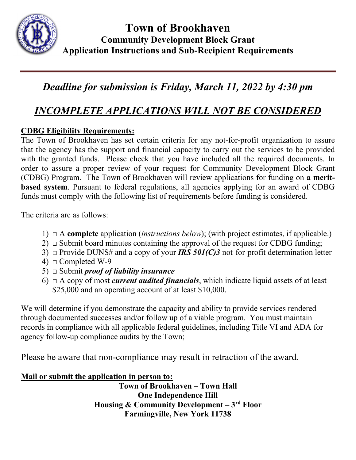

# *Deadline for submission is Friday, March 11, 2022 by 4:30 pm*

## *INCOMPLETE APPLICATIONS WILL NOT BE CONSIDERED*

#### **CDBG Eligibility Requirements:**

The Town of Brookhaven has set certain criteria for any not-for-profit organization to assure that the agency has the support and financial capacity to carry out the services to be provided with the granted funds. Please check that you have included all the required documents. In order to assure a proper review of your request for Community Development Block Grant (CDBG) Program. The Town of Brookhaven will review applications for funding on **a meritbased system**. Pursuant to federal regulations, all agencies applying for an award of CDBG funds must comply with the following list of requirements before funding is considered.

The criteria are as follows:

- 1) **□** A **complete** application (*instructions below*); (with project estimates, if applicable.)
- 2)  $\Box$  Submit board minutes containing the approval of the request for CDBG funding;
- 3) **□** Provide DUNS# and a copy of your *IRS 501(C)3* not-for-profit determination letter
- 4)  $\Box$  Completed W-9
- 5) **□** Submit *proof of liability insurance*
- 6) **□** A copy of most *current audited financials*, which indicate liquid assets of at least \$25,000 and an operating account of at least \$10,000.

We will determine if you demonstrate the capacity and ability to provide services rendered through documented successes and/or follow up of a viable program. You must maintain records in compliance with all applicable federal guidelines, including Title VI and ADA for agency follow-up compliance audits by the Town;

Please be aware that non-compliance may result in retraction of the award.

#### **Mail or submit the application in person to:**

**Town of Brookhaven – Town Hall One Independence Hill Housing & Community Development – 3rd Floor Farmingville, New York 11738**